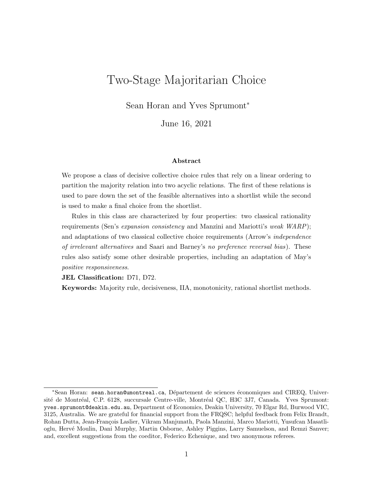# Two-Stage Majoritarian Choice

Sean Horan and Yves Sprumont<sup>∗</sup>

June 16, 2021

#### Abstract

We propose a class of decisive collective choice rules that rely on a linear ordering to partition the majority relation into two acyclic relations. The first of these relations is used to pare down the set of the feasible alternatives into a shortlist while the second is used to make a final choice from the shortlist.

Rules in this class are characterized by four properties: two classical rationality requirements (Sen's expansion consistency and Manzini and Mariotti's weak WARP); and adaptations of two classical collective choice requirements (Arrow's independence of irrelevant alternatives and Saari and Barney's no preference reversal bias). These rules also satisfy some other desirable properties, including an adaptation of May's positive responsiveness.

JEL Classification: D71, D72.

Keywords: Majority rule, decisiveness, IIA, monotonicity, rational shortlist methods.

<sup>\*</sup>Sean Horan: sean.horan@umontreal.ca, Département de sciences économiques and CIREQ, Université de Montréal, C.P. 6128, succursale Centre-ville, Montréal QC, H3C 3J7, Canada. Yves Sprumont: yves.sprumont@deakin.edu.au, Department of Economics, Deakin University, 70 Elgar Rd, Burwood VIC, 3125, Australia. We are grateful for financial support from the FRQSC; helpful feedback from Felix Brandt, Rohan Dutta, Jean-François Laslier, Vikram Manjunath, Paola Manzini, Marco Mariotti, Yusufcan Masatlioglu, Herv´e Moulin, Dani Murphy, Martin Osborne, Ashley Piggins, Larry Samuelson, and Remzi Sanver; and, excellent suggestions from the coeditor, Federico Echenique, and two anonymous referees.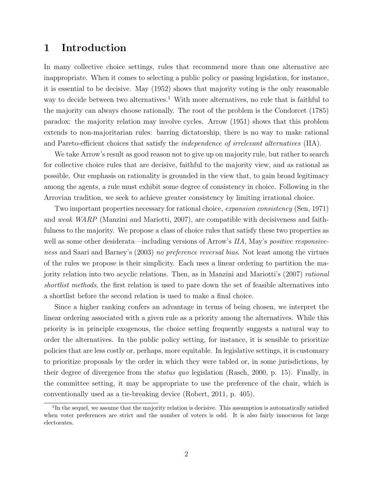## 1 Introduction

In many collective choice settings, rules that recommend more than one alternative are inappropriate. When it comes to selecting a public policy or passing legislation, for instance, it is essential to be decisive. May (1952) shows that majority voting is the only reasonable way to decide between two alternatives.<sup>1</sup> With more alternatives, no rule that is faithful to the majority can always choose rationally. The root of the problem is the Condorcet (1785) paradox: the majority relation may involve cycles. Arrow (1951) shows that this problem extends to non-majoritarian rules: barring dictatorship, there is no way to make rational and Pareto-efficient choices that satisfy the *independence of irrelevant alternatives* (IIA).

We take Arrow's result as good reason not to give up on majority rule, but rather to search for collective choice rules that are decisive, faithful to the majority view, and as rational as possible. Our emphasis on rationality is grounded in the view that, to gain broad legitimacy among the agents, a rule must exhibit some degree of consistency in choice. Following in the Arrovian tradition, we seek to achieve greater consistency by limiting irrational choice.

Two important properties necessary for rational choice, *expansion consistency* (Sen, 1971) and weak WARP (Manzini and Mariotti, 2007), are compatible with decisiveness and faithfulness to the majority. We propose a class of choice rules that satisfy these two properties as well as some other desiderata—including versions of Arrow's IIA, May's *positive responsive*ness and Saari and Barney's (2003) no preference reversal bias. Not least among the virtues of the rules we propose is their simplicity. Each uses a linear ordering to partition the majority relation into two acyclic relations. Then, as in Manzini and Mariotti's (2007) rational shortlist methods, the first relation is used to pare down the set of feasible alternatives into a shortlist before the second relation is used to make a final choice.

Since a higher ranking confers an advantage in terms of being chosen, we interpret the linear ordering associated with a given rule as a priority among the alternatives. While this priority is in principle exogenous, the choice setting frequently suggests a natural way to order the alternatives. In the public policy setting, for instance, it is sensible to prioritize policies that are less costly or, perhaps, more equitable. In legislative settings, it is customary to prioritize proposals by the order in which they were tabled or, in some jurisdictions, by their degree of divergence from the status quo legislation (Rasch, 2000, p. 15). Finally, in the committee setting, it may be appropriate to use the preference of the chair, which is conventionally used as a tie-breaking device (Robert, 2011, p. 405).

<sup>&</sup>lt;sup>1</sup>In the sequel, we assume that the majority relation is decisive. This assumption is automatically satisfied when voter preferences are strict and the number of voters is odd. It is also fairly innocuous for large electorates.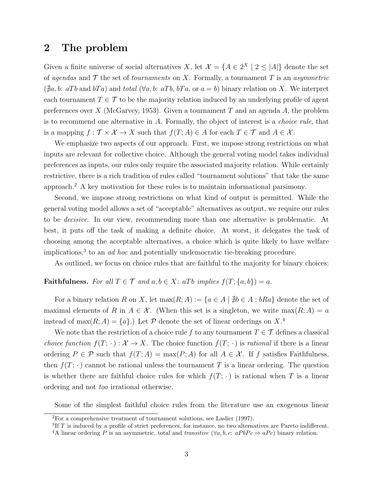### 2 The problem

Given a finite universe of social alternatives X, let  $\mathcal{X} = \{A \in 2^X \mid 2 \leq |A|\}$  denote the set of agendas and  $\mathcal T$  the set of *tournaments* on X. Formally, a tournament T is an *asymmetric*  $(\nexists a, b: aTb \text{ and } bTa)$  and total  $(\forall a, b: aTb, bTa, \text{ or } a=b)$  binary relation on X. We interpret each tournament  $T \in \mathcal{T}$  to be the majority relation induced by an underlying profile of agent preferences over X (McGarvey, 1953). Given a tournament T and an agenda A, the problem is to recommend one alternative in A. Formally, the object of interest is a choice rule, that is a mapping  $f : \mathcal{T} \times \mathcal{X} \to X$  such that  $f(T; A) \in A$  for each  $T \in \mathcal{T}$  and  $A \in \mathcal{X}$ .

We emphasize two aspects of our approach. First, we impose strong restrictions on what inputs are relevant for collective choice. Although the general voting model takes individual preferences as inputs, our rules only require the associated majority relation. While certainly restrictive, there is a rich tradition of rules called "tournament solutions" that take the same approach.<sup>2</sup> A key motivation for these rules is to maintain informational parsimony.

Second, we impose strong restrictions on what kind of output is permitted. While the general voting model allows a set of "acceptable" alternatives as output, we require our rules to be decisive. In our view, recommending more than one alternative is problematic. At best, it puts off the task of making a definite choice. At worst, it delegates the task of choosing among the acceptable alternatives, a choice which is quite likely to have welfare implications,<sup>3</sup> to an *ad hoc* and potentially undemocratic tie-breaking procedure.

As outlined, we focus on choice rules that are faithful to the majority for binary choices:

### **Faithfulness.** For all  $T \in \mathcal{T}$  and  $a, b \in X$ : aTb implies  $f(T; \{a, b\}) = a$ .

For a binary relation R on X, let  $\max(R; A) := \{a \in A \mid \nexists b \in A : bRa\}$  denote the set of maximal elements of R in  $A \in \mathcal{X}$ . (When this set is a singleton, we write  $\max(R; A) = a$ instead of max $(R; A) = \{a\}$ . Let P denote the set of linear orderings on X<sup>4</sup>.

We note that the restriction of a choice rule f to any tournament  $T \in \mathcal{T}$  defines a classical *choice function*  $f(T; \cdot): \mathcal{X} \to X$ . The choice function  $f(T; \cdot)$  is *rational* if there is a linear ordering  $P \in \mathcal{P}$  such that  $f(T; A) = \max(P; A)$  for all  $A \in \mathcal{X}$ . If f satisfies Faithfulness, then  $f(T; \cdot)$  cannot be rational unless the tournament T is a linear ordering. The question is whether there are faithful choice rules for which  $f(T; \cdot)$  is rational when T is a linear ordering and not too irrational otherwise.

Some of the simplest faithful choice rules from the literature use an exogenous linear

<sup>2</sup>For a comprehensive treatment of tournament solutions, see Laslier (1997).

 ${}^{3}$ If T is induced by a profile of strict preferences, for instance, no two alternatives are Pareto indifferent.

<sup>&</sup>lt;sup>4</sup>A linear ordering P is an asymmetric, total and transitive  $(\forall a, b, c: aPbPc \Rightarrow aPc)$  binary relation.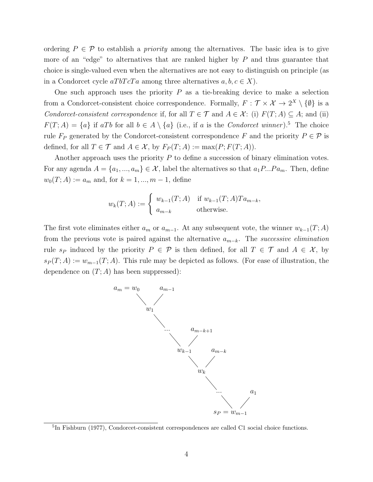ordering  $P \in \mathcal{P}$  to establish a *priority* among the alternatives. The basic idea is to give more of an "edge" to alternatives that are ranked higher by  $P$  and thus guarantee that choice is single-valued even when the alternatives are not easy to distinguish on principle (as in a Condorcet cycle  $aTbTcTa$  among three alternatives  $a, b, c \in X$ ).

One such approach uses the priority  $P$  as a tie-breaking device to make a selection from a Condorcet-consistent choice correspondence. Formally,  $F: \mathcal{T} \times \mathcal{X} \to 2^X \setminus \{\emptyset\}$  is a Condorcet-consistent correspondence if, for all  $T \in \mathcal{T}$  and  $A \in \mathcal{X}$ : (i)  $F(T; A) \subseteq A$ ; and (ii)  $F(T; A) = \{a\}$  if aTb for all  $b \in A \setminus \{a\}$  (i.e., if a is the *Condorcet winner*).<sup>5</sup> The choice rule  $F_P$  generated by the Condorcet-consistent correspondence F and the priority  $P \in \mathcal{P}$  is defined, for all  $T \in \mathcal{T}$  and  $A \in \mathcal{X}$ , by  $F_P(T; A) := \max(P; F(T; A)).$ 

Another approach uses the priority  $P$  to define a succession of binary elimination votes. For any agenda  $A = \{a_1, ..., a_m\} \in \mathcal{X}$ , label the alternatives so that  $a_1 P...P a_m$ . Then, define  $w_0(T; A) := a_m$  and, for  $k = 1, ..., m - 1$ , define

$$
w_k(T;A) := \begin{cases} w_{k-1}(T;A) & \text{if } w_{k-1}(T;A)Ta_{m-k}, \\ a_{m-k} & \text{otherwise.} \end{cases}
$$

The first vote eliminates either  $a_m$  or  $a_{m-1}$ . At any subsequent vote, the winner  $w_{k-1}(T; A)$ from the previous vote is paired against the alternative  $a_{m-k}$ . The *successive elimination* rule s<sub>P</sub> induced by the priority  $P \in \mathcal{P}$  is then defined, for all  $T \in \mathcal{T}$  and  $A \in \mathcal{X}$ , by  $s_P(T; A) := w_{m-1}(T; A)$ . This rule may be depicted as follows. (For ease of illustration, the dependence on  $(T; A)$  has been suppressed):



<sup>&</sup>lt;sup>5</sup>In Fishburn (1977), Condorcet-consistent correspondences are called C1 social choice functions.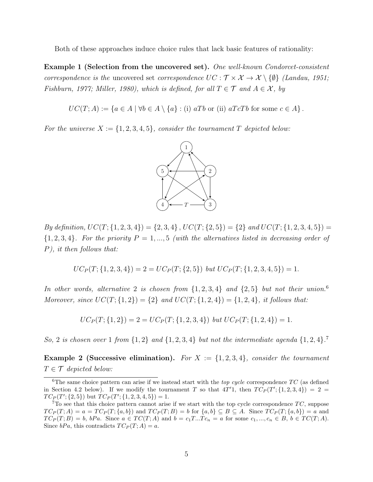Both of these approaches induce choice rules that lack basic features of rationality:

Example 1 (Selection from the uncovered set). One well-known Condorcet-consistent correspondence is the uncovered set correspondence  $UC : \mathcal{T} \times \mathcal{X} \to \mathcal{X} \setminus \{\emptyset\}$  (Landau, 1951; Fishburn, 1977; Miller, 1980), which is defined, for all  $T \in \mathcal{T}$  and  $A \in \mathcal{X}$ , by

 $UC(T; A) := \{a \in A \mid \forall b \in A \setminus \{a\} : (i) aTb \text{ or } (ii) aTcTb \text{ for some } c \in A\}.$ 

For the universe  $X := \{1, 2, 3, 4, 5\}$ , consider the tournament T depicted below:



By definition,  $UC(T; \{1, 2, 3, 4\}) = \{2, 3, 4\}$ ,  $UC(T; \{2, 5\}) = \{2\}$  and  $UC(T; \{1, 2, 3, 4, 5\}) =$  $\{1, 2, 3, 4\}$ . For the priority  $P = 1, ..., 5$  (with the alternatives listed in decreasing order of P), it then follows that:

$$
UC_P(T; \{1, 2, 3, 4\}) = 2 = UC_P(T; \{2, 5\}) \text{ but } UC_P(T; \{1, 2, 3, 4, 5\}) = 1.
$$

In other words, alternative 2 is chosen from  $\{1, 2, 3, 4\}$  and  $\{2, 5\}$  but not their union.<sup>6</sup> Moreover, since  $UC(T; {1, 2}) = {2}$  and  $UC(T; {1, 2, 4}) = {1, 2, 4}$ , it follows that:

$$
UC_P(T; \{1,2\}) = 2 = UC_P(T; \{1,2,3,4\}) \text{ but } UC_P(T; \{1,2,4\}) = 1.
$$

So, 2 is chosen over 1 from  $\{1,2\}$  and  $\{1,2,3,4\}$  but not the intermediate agenda  $\{1,2,4\}$ .

**Example 2 (Successive elimination).** For  $X := \{1, 2, 3, 4\}$ , consider the tournament  $T \in \mathcal{T}$  depicted below:

<sup>&</sup>lt;sup>6</sup>The same choice pattern can arise if we instead start with the *top cycle* correspondence  $TC$  (as defined in Section 4.2 below). If we modify the tournament T so that  $4T'1$ , then  $TC_P(T'; \{1, 2, 3, 4\}) = 2$  $TC_P(T'; \{2, 5\})$  but  $TC_P(T'; \{1, 2, 3, 4, 5\}) = 1.$ 

 $7T<sub>O</sub>$  see that this choice pattern cannot arise if we start with the top cycle correspondence  $TC$ , suppose  $TC_P(T; A) = a = TC_P(T; \{a, b\})$  and  $TC_P(T; B) = b$  for  $\{a, b\} \subseteq B \subseteq A$ . Since  $TC_P(T; \{a, b\}) = a$  and  $TC_P(T; B) = b$ ,  $bPa$ . Since  $a \in TC(T; A)$  and  $b = c_1T...Tc_n = a$  for some  $c_1, ..., c_n \in B$ ,  $b \in TC(T; A)$ . Since  $bPa$ , this contradicts  $TC_P(T; A) = a$ .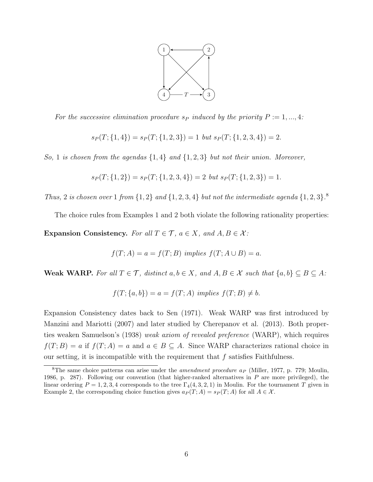

For the successive elimination procedure  $s_P$  induced by the priority  $P := 1, ..., 4$ :

$$
s_P(T; \{1,4\}) = s_P(T; \{1,2,3\}) = 1 \text{ but } s_P(T; \{1,2,3,4\}) = 2.
$$

So, 1 is chosen from the agendas  $\{1,4\}$  and  $\{1,2,3\}$  but not their union. Moreover,

$$
s_P(T; \{1,2\}) = s_P(T; \{1,2,3,4\}) = 2 \text{ but } s_P(T; \{1,2,3\}) = 1.
$$

Thus, 2 is chosen over 1 from  $\{1,2\}$  and  $\{1,2,3,4\}$  but not the intermediate agenda  $\{1,2,3\}$ .

The choice rules from Examples 1 and 2 both violate the following rationality properties:

Expansion Consistency. For all  $T \in \mathcal{T}$ ,  $a \in X$ , and  $A, B \in \mathcal{X}$ :

$$
f(T; A) = a = f(T; B) \implies f(T; A \cup B) = a.
$$

Weak WARP. For all  $T \in \mathcal{T}$ , distinct  $a, b \in X$ , and  $A, B \in \mathcal{X}$  such that  $\{a, b\} \subseteq B \subseteq A$ :

$$
f(T; \{a, b\}) = a = f(T; A) \implies f(T; B) \neq b.
$$

Expansion Consistency dates back to Sen (1971). Weak WARP was first introduced by Manzini and Mariotti (2007) and later studied by Cherepanov et al. (2013). Both properties weaken Samuelson's (1938) weak axiom of revealed preference (WARP), which requires  $f(T; B) = a$  if  $f(T; A) = a$  and  $a \in B \subseteq A$ . Since WARP characterizes rational choice in our setting, it is incompatible with the requirement that  $f$  satisfies Faithfulness.

<sup>&</sup>lt;sup>8</sup>The same choice patterns can arise under the *amendment procedure a<sub>P</sub>* (Miller, 1977, p. 779; Moulin, 1986, p. 287). Following our convention (that higher-ranked alternatives in  $P$  are more privileged), the linear ordering  $P = 1, 2, 3, 4$  corresponds to the tree  $\Gamma_4(4, 3, 2, 1)$  in Moulin. For the tournament T given in Example 2, the corresponding choice function gives  $a_P(T; A) = s_P(T; A)$  for all  $A \in \mathcal{X}$ .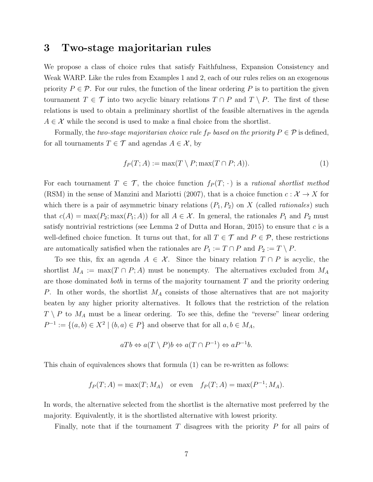# 3 Two-stage majoritarian rules

We propose a class of choice rules that satisfy Faithfulness, Expansion Consistency and Weak WARP. Like the rules from Examples 1 and 2, each of our rules relies on an exogenous priority  $P \in \mathcal{P}$ . For our rules, the function of the linear ordering P is to partition the given tournament  $T \in \mathcal{T}$  into two acyclic binary relations  $T \cap P$  and  $T \setminus P$ . The first of these relations is used to obtain a preliminary shortlist of the feasible alternatives in the agenda  $A \in \mathcal{X}$  while the second is used to make a final choice from the shortlist.

Formally, the two-stage majoritarian choice rule  $f_P$  based on the priority  $P \in \mathcal{P}$  is defined, for all tournaments  $T \in \mathcal{T}$  and agendas  $A \in \mathcal{X}$ , by

$$
f_P(T; A) := \max(T \setminus P; \max(T \cap P; A)). \tag{1}
$$

For each tournament  $T \in \mathcal{T}$ , the choice function  $f_P(T; \cdot)$  is a rational shortlist method (RSM) in the sense of Manzini and Mariotti (2007), that is a choice function  $c: \mathcal{X} \to X$  for which there is a pair of asymmetric binary relations  $(P_1, P_2)$  on X (called *rationales*) such that  $c(A) = \max(P_2; \max(P_1; A))$  for all  $A \in \mathcal{X}$ . In general, the rationales  $P_1$  and  $P_2$  must satisfy nontrivial restrictions (see Lemma 2 of Dutta and Horan, 2015) to ensure that  $c$  is a well-defined choice function. It turns out that, for all  $T \in \mathcal{T}$  and  $P \in \mathcal{P}$ , these restrictions are automatically satisfied when the rationales are  $P_1 := T \cap P$  and  $P_2 := T \setminus P$ .

To see this, fix an agenda  $A \in \mathcal{X}$ . Since the binary relation  $T \cap P$  is acyclic, the shortlist  $M_A := \max(T \cap P; A)$  must be nonempty. The alternatives excluded from  $M_A$ are those dominated *both* in terms of the majority tournament  $T$  and the priority ordering P. In other words, the shortlist  $M_A$  consists of those alternatives that are not majority beaten by any higher priority alternatives. It follows that the restriction of the relation  $T \setminus P$  to  $M_A$  must be a linear ordering. To see this, define the "reverse" linear ordering  $P^{-1} := \{(a, b) \in X^2 \mid (b, a) \in P\}$  and observe that for all  $a, b \in M_A$ ,

$$
aTb \Leftrightarrow a(T \setminus P)b \Leftrightarrow a(T \cap P^{-1}) \Leftrightarrow aP^{-1}b.
$$

This chain of equivalences shows that formula (1) can be re-written as follows:

$$
f_P(T; A) = \max(T; M_A) \quad \text{or even} \quad f_P(T; A) = \max(P^{-1}; M_A).
$$

In words, the alternative selected from the shortlist is the alternative most preferred by the majority. Equivalently, it is the shortlisted alternative with lowest priority.

Finally, note that if the tournament  $T$  disagrees with the priority  $P$  for all pairs of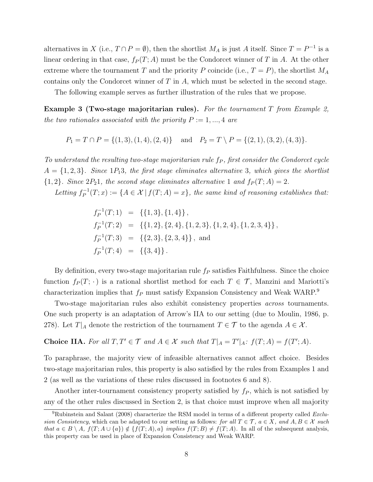alternatives in X (i.e.,  $T \cap P = \emptyset$ ), then the shortlist  $M_A$  is just A itself. Since  $T = P^{-1}$  is a linear ordering in that case,  $f_P(T; A)$  must be the Condorcet winner of T in A. At the other extreme where the tournament T and the priority P coincide (i.e.,  $T = P$ ), the shortlist  $M_A$ contains only the Condorcet winner of T in A, which must be selected in the second stage.

The following example serves as further illustration of the rules that we propose.

**Example 3 (Two-stage majoritarian rules).** For the tournament  $T$  from Example 2, the two rationales associated with the priority  $P := 1, ..., 4$  are

$$
P_1 = T \cap P = \{(1,3), (1,4), (2,4)\}
$$
 and  $P_2 = T \setminus P = \{(2,1), (3,2), (4,3)\}.$ 

To understand the resulting two-stage majoritarian rule  $f_P$ , first consider the Condorcet cycle  $A = \{1, 2, 3\}$ . Since 1P<sub>1</sub>3, the first stage eliminates alternative 3, which gives the shortlist  ${1, 2}$ . Since  $2P_21$ , the second stage eliminates alternative 1 and  $f_P(T; A) = 2$ .

Letting  $f_P^{-1}$  $E_P^{-1}(T; x) := \{A \in \mathcal{X} \, | \, f(T; A) = x\},\$  the same kind of reasoning establishes that:

$$
f_P^{-1}(T;1) = \{\{1,3\},\{1,4\}\},
$$
  
\n
$$
f_P^{-1}(T;2) = \{\{1,2\},\{2,4\},\{1,2,3\},\{1,2,4\},\{1,2,3,4\}\},
$$
  
\n
$$
f_P^{-1}(T;3) = \{\{2,3\},\{2,3,4\}\},
$$
 and  
\n
$$
f_P^{-1}(T;4) = \{\{3,4\}\}.
$$

By definition, every two-stage majoritarian rule  $f_P$  satisfies Faithfulness. Since the choice function  $f_P(T; \cdot)$  is a rational shortlist method for each  $T \in \mathcal{T}$ , Manzini and Mariotti's characterization implies that  $f_P$  must satisfy Expansion Consistency and Weak WARP.<sup>9</sup>

Two-stage majoritarian rules also exhibit consistency properties across tournaments. One such property is an adaptation of Arrow's IIA to our setting (due to Moulin, 1986, p. 278). Let  $T|_A$  denote the restriction of the tournament  $T \in \mathcal{T}$  to the agenda  $A \in \mathcal{X}$ .

**Choice IIA.** For all  $T, T' \in \mathcal{T}$  and  $A \in \mathcal{X}$  such that  $T|_A = T'|_A : f(T; A) = f(T'; A)$ .

To paraphrase, the majority view of infeasible alternatives cannot affect choice. Besides two-stage majoritarian rules, this property is also satisfied by the rules from Examples 1 and 2 (as well as the variations of these rules discussed in footnotes 6 and 8).

Another inter-tournament consistency property satisfied by  $f<sub>P</sub>$ , which is not satisfied by any of the other rules discussed in Section 2, is that choice must improve when all majority

<sup>&</sup>lt;sup>9</sup>Rubinstein and Salant (2008) characterize the RSM model in terms of a different property called  $Exclu$ sion Consistency, which can be adapted to our setting as follows: for all  $T \in \mathcal{T}$ ,  $a \in X$ , and  $A, B \in \mathcal{X}$  such that  $a \in B \setminus A$ ,  $f(T; A \cup \{a\}) \notin \{f(T; A), a\}$  implies  $f(T; B) \neq f(T; A)$ . In all of the subsequent analysis, this property can be used in place of Expansion Consistency and Weak WARP.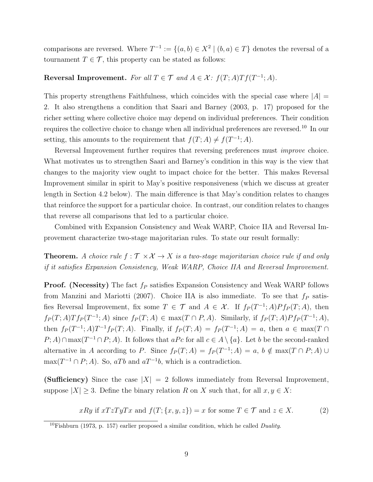comparisons are reversed. Where  $T^{-1} := \{(a, b) \in X^2 \mid (b, a) \in T\}$  denotes the reversal of a tournament  $T \in \mathcal{T}$ , this property can be stated as follows:

### Reversal Improvement. For all  $T \in \mathcal{T}$  and  $A \in \mathcal{X}$ :  $f(T; A)Tf(T^{-1}; A)$ .

This property strengthens Faithfulness, which coincides with the special case where  $|A| =$ 2. It also strengthens a condition that Saari and Barney (2003, p. 17) proposed for the richer setting where collective choice may depend on individual preferences. Their condition requires the collective choice to change when all individual preferences are reversed.<sup>10</sup> In our setting, this amounts to the requirement that  $f(T; A) \neq f(T^{-1}; A)$ .

Reversal Improvement further requires that reversing preferences must improve choice. What motivates us to strengthen Saari and Barney's condition in this way is the view that changes to the majority view ought to impact choice for the better. This makes Reversal Improvement similar in spirit to May's positive responsiveness (which we discuss at greater length in Section 4.2 below). The main difference is that May's condition relates to changes that reinforce the support for a particular choice. In contrast, our condition relates to changes that reverse all comparisons that led to a particular choice.

Combined with Expansion Consistency and Weak WARP, Choice IIA and Reversal Improvement characterize two-stage majoritarian rules. To state our result formally:

**Theorem.** A choice rule  $f : \mathcal{T} \times \mathcal{X} \to X$  is a two-stage majoritarian choice rule if and only if it satisfies Expansion Consistency, Weak WARP, Choice IIA and Reversal Improvement.

**Proof.** (Necessity) The fact  $f_P$  satisfies Expansion Consistency and Weak WARP follows from Manzini and Mariotti (2007). Choice IIA is also immediate. To see that  $f_P$  satisfies Reversal Improvement, fix some  $T \in \mathcal{T}$  and  $A \in \mathcal{X}$ . If  $f_P(T^{-1};A)Pf_P(T;A)$ , then  $f_P(T;A)Tf_P(T^{-1};A)$  since  $f_P(T;A) \in \max(T \cap P,A)$ . Similarly, if  $f_P(T;A)Pf_P(T^{-1};A)$ , then  $f_P(T^{-1};A)T^{-1}f_P(T;A)$ . Finally, if  $f_P(T;A) = f_P(T^{-1};A) = a$ , then  $a \in \max(T \cap A)$  $P(A) \cap \max(T^{-1} \cap P; A)$ . It follows that  $aPc$  for all  $c \in A \setminus \{a\}$ . Let b be the second-ranked alternative in A according to P. Since  $f_P(T; A) = f_P(T^{-1}; A) = a, b \notin \max(T \cap P; A) \cup$  $\max(T^{-1} \cap P; A)$ . So, aTb and aT<sup>-1</sup>b, which is a contradiction.

(Sufficiency) Since the case  $|X| = 2$  follows immediately from Reversal Improvement, suppose  $|X| \geq 3$ . Define the binary relation R on X such that, for all  $x, y \in X$ :

$$
xRy \text{ if } xTzTyTx \text{ and } f(T; \{x, y, z\}) = x \text{ for some } T \in \mathcal{T} \text{ and } z \in X. \tag{2}
$$

 $10F$ ishburn (1973, p. 157) earlier proposed a similar condition, which he called *Duality*.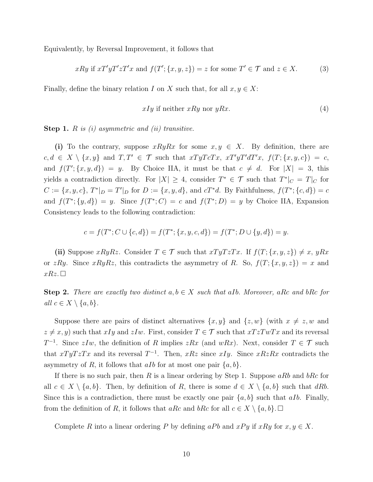Equivalently, by Reversal Improvement, it follows that

$$
xRy \text{ if } xT'yT'zT'x \text{ and } f(T'; \{x, y, z\}) = z \text{ for some } T' \in \mathcal{T} \text{ and } z \in X. \tag{3}
$$

Finally, define the binary relation I on X such that, for all  $x, y \in X$ :

$$
xIy \text{ if neither } xRy \text{ nor } yRx. \tag{4}
$$

**Step 1.**  $R$  is  $(i)$  asymmetric and  $(ii)$  transitive.

(i) To the contrary, suppose  $xRyRx$  for some  $x, y \in X$ . By definition, there are  $c, d \in X \setminus \{x, y\}$  and  $T, T' \in \mathcal{T}$  such that  $xT yT cT x$ ,  $xT' yT' dT' x$ ,  $f(T; \{x, y, c\}) = c$ , and  $f(T'; \{x, y, d\}) = y$ . By Choice IIA, it must be that  $c \neq d$ . For  $|X| = 3$ , this yields a contradiction directly. For  $|X| \geq 4$ , consider  $T^* \in \mathcal{T}$  such that  $T^*|_C = T|_C$  for  $C := \{x, y, c\}, T^*|_{D} = T'|_{D}$  for  $D := \{x, y, d\},$  and  $cT^*d$ . By Faithfulness,  $f(T^*; \{c, d\}) = c$ and  $f(T^*; \{y, d\}) = y$ . Since  $f(T^*; C) = c$  and  $f(T^*; D) = y$  by Choice IIA, Expansion Consistency leads to the following contradiction:

$$
c = f(T^*; C \cup \{c, d\}) = f(T^*; \{x, y, c, d\}) = f(T^*; D \cup \{y, d\}) = y.
$$

(ii) Suppose  $xRyRz$ . Consider  $T \in \mathcal{T}$  such that  $xTyTzTx$ . If  $f(T; {x, y, z}) \neq x$ ,  $yRx$ or zRy. Since  $xRyRz$ , this contradicts the asymmetry of R. So,  $f(T; {x, y, z}) = x$  and  $xRz.\Box$ 

**Step 2.** There are exactly two distinct  $a, b \in X$  such that aIb. Moreover, aRc and bRc for all  $c \in X \setminus \{a, b\}.$ 

Suppose there are pairs of distinct alternatives  $\{x, y\}$  and  $\{z, w\}$  (with  $x \neq z, w$  and  $z \neq x, y$ ) such that  $xIy$  and  $zIw$ . First, consider  $T \in \mathcal{T}$  such that  $xTzTwTx$  and its reversal  $T^{-1}$ . Since  $zIw$ , the definition of R implies  $zRx$  (and  $wRx$ ). Next, consider  $T \in \mathcal{T}$  such that  $xTyTzTx$  and its reversal  $T^{-1}$ . Then,  $xRz$  since  $xIy$ . Since  $xRzRx$  contradicts the asymmetry of R, it follows that all for at most one pair  $\{a, b\}$ .

If there is no such pair, then R is a linear ordering by Step 1. Suppose aRb and bRc for all  $c \in X \setminus \{a, b\}$ . Then, by definition of R, there is some  $d \in X \setminus \{a, b\}$  such that dRb. Since this is a contradiction, there must be exactly one pair  $\{a, b\}$  such that aIb. Finally, from the definition of R, it follows that aRc and bRc for all  $c \in X \setminus \{a, b\}$ .

Complete R into a linear ordering P by defining aPb and  $xPy$  if  $xRy$  for  $x, y \in X$ .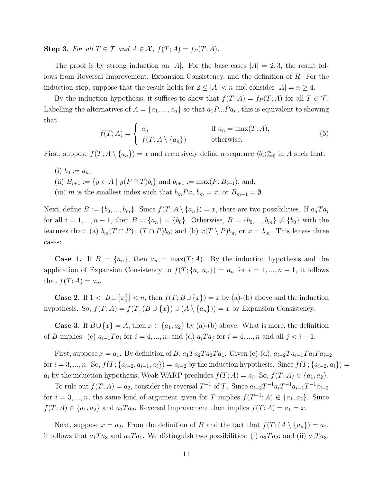Step 3. For all  $T \in \mathcal{T}$  and  $A \in \mathcal{X}$ ,  $f(T; A) = f_P(T; A)$ .

The proof is by strong induction on |A|. For the base cases  $|A| = 2, 3$ , the result follows from Reversal Improvement, Expansion Consistency, and the definition of R. For the induction step, suppose that the result holds for  $2 \leq |A| < n$  and consider  $|A| = n \geq 4$ .

By the induction hypothesis, it suffices to show that  $f(T; A) = f_P(T; A)$  for all  $T \in \mathcal{T}$ . Labelling the alternatives of  $A = \{a_1, ..., a_n\}$  so that  $a_1P...Pa_n$ , this is equivalent to showing that

$$
f(T; A) = \begin{cases} a_n & \text{if } a_n = \max(T; A), \\ f(T; A \setminus \{a_n\}) & \text{otherwise.} \end{cases}
$$
(5)

First, suppose  $f(T; A \setminus \{a_n\}) = x$  and recursively define a sequence  $\langle b_i \rangle_{i=0}^m$  in A such that:

(i)  $b_0 := a_n;$ 

(ii)  $B_{i+1} := \{ y \in A \mid y(P \cap T)b_i \}$  and  $b_{i+1} := \max(P; B_{i+1});$  and,

(iii) m is the smallest index such that  $b_mPx$ ,  $b_m = x$ , or  $B_{m+1} = \emptyset$ .

Next, define  $B := \{b_0, ..., b_m\}$ . Since  $f(T; A \setminus \{a_n\}) = x$ , there are two possibilities. If  $a_n T a_i$ for all  $i = 1, ..., n - 1$ , then  $B = \{a_n\} = \{b_0\}$ . Otherwise,  $B = \{b_0, ..., b_m\} \neq \{b_0\}$  with the features that: (a)  $b_m(T \cap P)...(T \cap P)b_0$ ; and (b)  $x(T \setminus P)b_m$  or  $x = b_m$ . This leaves three cases:

**Case 1.** If  $B = \{a_n\}$ , then  $a_n = \max(T; A)$ . By the induction hypothesis and the application of Expansion Consistency to  $f(T; \{a_i, a_n\}) = a_n$  for  $i = 1, ..., n-1$ , it follows that  $f(T; A) = a_n$ .

**Case 2.** If  $1 < |B \cup \{x\}| < n$ , then  $f(T; B \cup \{x\}) = x$  by (a)-(b) above and the induction hypothesis. So,  $f(T; A) = f(T; (B \cup \{x\}) \cup (A \setminus \{a_n\})) = x$  by Expansion Consistency.

**Case 3.** If  $B \cup \{x\} = A$ , then  $x \in \{a_1, a_2\}$  by (a)-(b) above. What is more, the definition of B implies: (c)  $a_{i-1}Ta_i$  for  $i = 4, ..., n$ ; and (d)  $a_iTa_j$  for  $i = 4, ..., n$  and all  $j < i - 1$ .

First, suppose  $x = a_1$ . By definition of B,  $a_1Ta_2Ta_3Ta_1$ . Given (c)-(d),  $a_{i-2}Ta_{i-1}Ta_iTa_{i-2}$ for  $i = 3, ..., n$ . So,  $f(T; {a_{i-2}, a_{i-1}, a_i}) = a_{i-2}$  by the induction hypothesis. Since  $f(T; {a_{i-2}, a_i}) =$  $a_i$  by the induction hypothesis, Weak WARP precludes  $f(T; A) = a_i$ . So,  $f(T; A) \in \{a_1, a_2\}$ .

To rule out  $f(T; A) = a_2$ , consider the reversal  $T^{-1}$  of T. Since  $a_{i-2}T^{-1}a_iT^{-1}a_{i-1}T^{-1}a_{i-2}$ for  $i = 3, ..., n$ , the same kind of argument given for T implies  $f(T^{-1}; A) \in \{a_1, a_2\}$ . Since  $f(T; A) \in \{a_1, a_2\}$  and  $a_1Ta_2$ , Reversal Improvement then implies  $f(T; A) = a_1 = x$ .

Next, suppose  $x = a_2$ . From the definition of B and the fact that  $f(T; (A \setminus \{a_n\}) = a_2$ , it follows that  $a_1Ta_3$  and  $a_2Ta_1$ . We distinguish two possibilities: (i)  $a_3Ta_2$ ; and (ii)  $a_2Ta_3$ .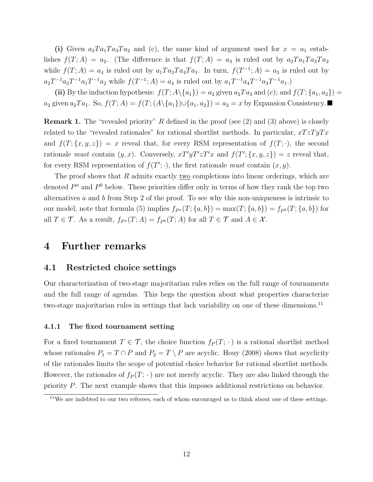(i) Given  $a_2Ta_1Ta_3Ta_2$  and (c), the same kind of argument used for  $x = a_1$  establishes  $f(T; A) = a_2$ . (The difference is that  $f(T; A) = a_3$  is ruled out by  $a_2Ta_1Ta_3Ta_2$ while  $f(T; A) = a_4$  is ruled out by  $a_1Ta_3Ta_4Ta_1$ . In turn,  $f(T^{-1}; A) = a_3$  is ruled out by  $a_2T^{-1}a_3T^{-1}a_1T^{-1}a_2$  while  $f(T^{-1};A) = a_4$  is ruled out by  $a_1T^{-1}a_4T^{-1}a_3T^{-1}a_1$ .)

(ii) By the induction hypothesis:  $f(T; A \setminus \{a_1\}) = a_2$  given  $a_2Ta_3$  and (c); and  $f(T; \{a_1, a_2\}) = a_3$  $a_2$  given  $a_2Ta_1$ . So,  $f(T; A) = f(T; (A \setminus \{a_1\}) \cup \{a_1, a_2\}) = a_2 = x$  by Expansion Consistency.

**Remark 1.** The "revealed priority" R defined in the proof (see  $(2)$  and  $(3)$  above) is closely related to the "revealed rationales" for rational shortlist methods. In particular,  $xTzTyTx$ and  $f(T; \{x, y, z\}) = x$  reveal that, for every RSM representation of  $f(T; \cdot)$ , the second rationale must contain  $(y, x)$ . Conversely,  $xT'yT'zT'x$  and  $f(T'; \{x, y, z\}) = z$  reveal that, for every RSM representation of  $f(T'; \cdot)$ , the first rationale must contain  $(x, y)$ .

The proof shows that  $R$  admits exactly two completions into linear orderings, which are denoted  $P^a$  and  $P^b$  below. These priorities differ only in terms of how they rank the top two alternatives  $a$  and  $b$  from Step 2 of the proof. To see why this non-uniqueness is intrinsic to our model, note that formula (5) implies  $f_{P^a}(T; \{a, b\}) = \max(T; \{a, b\}) = f_{P^b}(T; \{a, b\})$  for all  $T \in \mathcal{T}$ . As a result,  $f_{P^a}(T; A) = f_{P^b}(T; A)$  for all  $T \in \mathcal{T}$  and  $A \in \mathcal{X}$ .

## 4 Further remarks

### 4.1 Restricted choice settings

Our characterization of two-stage majoritarian rules relies on the full range of tournaments and the full range of agendas. This begs the question about what properties characterize two-stage majoritarian rules in settings that lack variability on one of these dimensions.<sup>11</sup>

#### 4.1.1 The fixed tournament setting

For a fixed tournament  $T \in \mathcal{T}$ , the choice function  $f_P(T; \cdot)$  is a rational shortlist method whose rationales  $P_1 = T \cap P$  and  $P_2 = T \setminus P$  are acyclic. Houy (2008) shows that acyclicity of the rationales limits the scope of potential choice behavior for rational shortlist methods. However, the rationales of  $f_P(T; \cdot)$  are not merely acyclic. They are also linked through the priority P. The next example shows that this imposes additional restrictions on behavior.

 $11$ We are indebted to our two referees, each of whom encouraged us to think about one of these settings.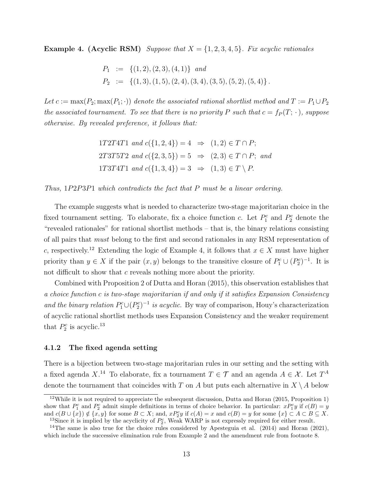**Example 4.** (Acyclic RSM) Suppose that  $X = \{1, 2, 3, 4, 5\}$ . Fix acyclic rationales

$$
P_1 := \{ (1, 2), (2, 3), (4, 1) \} \text{ and}
$$
  
\n
$$
P_2 := \{ (1, 3), (1, 5), (2, 4), (3, 4), (3, 5), (5, 2), (5, 4) \}.
$$

Let  $c := \max(P_2; \max(P_1; \cdot))$  denote the associated rational shortlist method and  $T := P_1 \cup P_2$ the associated tournament. To see that there is no priority P such that  $c = f<sub>P</sub>(T; \cdot)$ , suppose otherwise. By revealed preference, it follows that:

> 1T2T4T1 and  $c({1, 2, 4}) = 4 \Rightarrow (1, 2) \in T \cap P$ ; 2T3T5T2 and  $c({2, 3, 5}) = 5 \Rightarrow (2, 3) \in T \cap P$ ; and 1T3T4T1 and  $c({1, 3, 4}) = 3 \Rightarrow (1, 3) \in T \setminus P$ .

Thus, 1P2P3P1 which contradicts the fact that P must be a linear ordering.

The example suggests what is needed to characterize two-stage majoritarian choice in the fixed tournament setting. To elaborate, fix a choice function c. Let  $P_1^c$  and  $P_2^c$  denote the "revealed rationales" for rational shortlist methods – that is, the binary relations consisting of all pairs that must belong to the first and second rationales in any RSM representation of c, respectively.<sup>12</sup> Extending the logic of Example 4, it follows that  $x \in X$  must have higher priority than  $y \in X$  if the pair  $(x, y)$  belongs to the transitive closure of  $P_1^c \cup (P_2^c)^{-1}$ . It is not difficult to show that c reveals nothing more about the priority.

Combined with Proposition 2 of Dutta and Horan (2015), this observation establishes that a choice function c is two-stage majoritarian if and only if it satisfies Expansion Consistency and the binary relation  $P_1^c \cup (P_2^c)^{-1}$  is acyclic. By way of comparison, Houy's characterization of acyclic rational shortlist methods uses Expansion Consistency and the weaker requirement that  $P_2^c$  is acyclic.<sup>13</sup>

#### 4.1.2 The fixed agenda setting

There is a bijection between two-stage majoritarian rules in our setting and the setting with a fixed agenda  $X^{14}$  To elaborate, fix a tournament  $T \in \mathcal{T}$  and an agenda  $A \in \mathcal{X}$ . Let  $T^A$ denote the tournament that coincides with T on A but puts each alternative in  $X \setminus A$  below

<sup>12</sup>While it is not required to appreciate the subsequent discussion, Dutta and Horan (2015, Proposition 1) show that  $P_1^c$  and  $P_2^c$  admit simple definitions in terms of choice behavior. In particular:  $x P_1^c y$  if  $c(B) = y$ and  $c(B \cup \{x\}) \notin \{x, y\}$  for some  $B \subset X$ ; and,  $xP_2^c y$  if  $c(A) = x$  and  $c(B) = y$  for some  $\{x\} \subset A \subset B \subseteq X$ . <sup>13</sup>Since it is implied by the acyclicity of  $P_2^c$ , Weak WARP is not expressly required for either result.

<sup>&</sup>lt;sup>14</sup>The same is also true for the choice rules considered by Apesteguia et al.  $(2014)$  and Horan  $(2021)$ , which include the successive elimination rule from Example 2 and the amendment rule from footnote 8.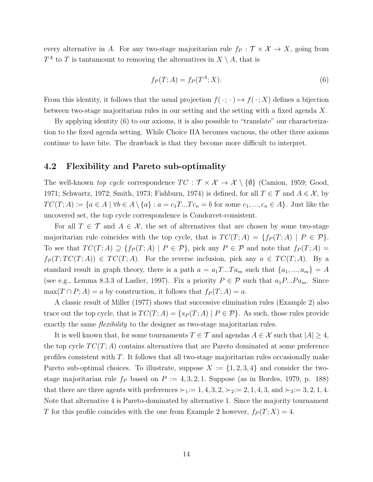every alternative in A. For any two-stage majoritarian rule  $f_P : \mathcal{T} \times \mathcal{X} \to X$ , going from  $T^A$  to T is tantamount to removing the alternatives in  $X \setminus A$ , that is

$$
f_P(T; A) = f_P(T^A; X). \tag{6}
$$

From this identity, it follows that the usual projection  $f(\cdot; \cdot) \mapsto f(\cdot; X)$  defines a bijection between two-stage majoritarian rules in our setting and the setting with a fixed agenda X.

By applying identity (6) to our axioms, it is also possible to "translate" our characterization to the fixed agenda setting. While Choice IIA becomes vacuous, the other three axioms continue to have bite. The drawback is that they become more difficult to interpret.

#### 4.2 Flexibility and Pareto sub-optimality

The well-known top cycle correspondence  $TC : \mathcal{T} \times \mathcal{X} \to \mathcal{X} \setminus \{\emptyset\}$  (Camion, 1959; Good, 1971; Schwartz, 1972; Smith, 1973; Fishburn, 1974) is defined, for all  $T \in \mathcal{T}$  and  $A \in \mathcal{X}$ , by  $TC(T; A) := \{a \in A \mid \forall b \in A \setminus \{a\} : a = c_1T...Tc_n = b \text{ for some } c_1, ..., c_n \in A\}.$  Just like the uncovered set, the top cycle correspondence is Condorcet-consistent.

For all  $T \in \mathcal{T}$  and  $A \in \mathcal{X}$ , the set of alternatives that are chosen by some two-stage majoritarian rule coincides with the top cycle, that is  $TC(T; A) = \{f_P(T; A) | P \in \mathcal{P}\}.$ To see that  $TC(T; A) \supseteq \{f_P(T; A) | P \in \mathcal{P}\}\$ , pick any  $P \in \mathcal{P}$  and note that  $f_P(T; A) =$  $f_P(T;TC(T;A)) \in TC(T;A)$ . For the reverse inclusion, pick any  $a \in TC(T;A)$ . By a standard result in graph theory, there is a path  $a = a_1T...Ta_m$  such that  $\{a_1, ..., a_m\} = A$ (see e.g., Lemma 8.3.3 of Laslier, 1997). Fix a priority  $P \in \mathcal{P}$  such that  $a_1P...Pa_m$ . Since  $\max(T \cap P; A) = a$  by construction, it follows that  $f_P(T; A) = a$ .

A classic result of Miller (1977) shows that successive elimination rules (Example 2) also trace out the top cycle, that is  $TC(T; A) = \{s_P(T; A) | P \in \mathcal{P}\}\.$  As such, those rules provide exactly the same *flexibility* to the designer as two-stage majoritarian rules.

It is well known that, for some tournaments  $T \in \mathcal{T}$  and agendas  $A \in \mathcal{X}$  such that  $|A| \geq 4$ , the top cycle  $TC(T; A)$  contains alternatives that are Pareto dominated at some preference profiles consistent with T. It follows that all two-stage majoritarian rules occasionally make Pareto sub-optimal choices. To illustrate, suppose  $X := \{1, 2, 3, 4\}$  and consider the twostage majoritarian rule  $f_P$  based on  $P := 4, 3, 2, 1$ . Suppose (as in Bordes, 1979, p. 188) that there are three agents with preferences  $\succ_1:= 1, 4, 3, 2, \succ_2:= 2, 1, 4, 3,$  and  $\succ_3:= 3, 2, 1, 4$ . Note that alternative 4 is Pareto-dominated by alternative 1. Since the majority tournament T for this profile coincides with the one from Example 2 however,  $f_P(T; X) = 4$ .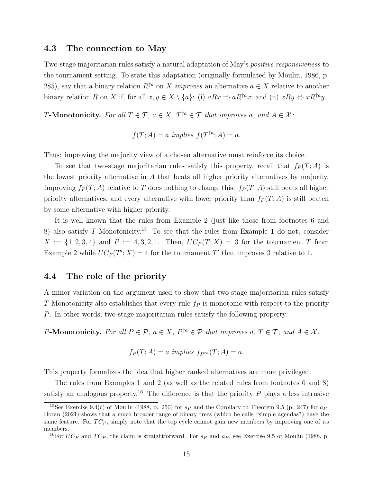#### 4.3 The connection to May

Two-stage majoritarian rules satisfy a natural adaptation of May's positive responsiveness to the tournament setting. To state this adaptation (originally formulated by Moulin, 1986, p. 285), say that a binary relation  $R^{\uparrow a}$  on X *improves* an alternative  $a \in X$  relative to another binary relation R on X if, for all  $x, y \in X \setminus \{a\}$ : (i)  $aRx \Rightarrow aR^{\uparrow a}x$ ; and (ii)  $xRy \Leftrightarrow xR^{\uparrow a}y$ .

**T-Monotonicity.** For all  $T \in \mathcal{T}$ ,  $a \in X$ ,  $T^{\uparrow a} \in \mathcal{T}$  that improves a, and  $A \in \mathcal{X}$ :

$$
f(T; A) = a
$$
 implies  $f(T^{\uparrow a}; A) = a$ .

Thus: improving the majority view of a chosen alternative must reinforce its choice.

To see that two-stage majoritarian rules satisfy this property, recall that  $f_P(T; A)$  is the lowest priority alternative in A that beats all higher priority alternatives by majority. Improving  $f_P(T; A)$  relative to T does nothing to change this:  $f_P(T; A)$  still beats all higher priority alternatives; and every alternative with lower priority than  $f_P(T; A)$  is still beaten by some alternative with higher priority.

It is well known that the rules from Example 2 (just like those from footnotes 6 and 8) also satisfy  $T$ -Monotonicity.<sup>15</sup> To see that the rules from Example 1 do not, consider  $X := \{1, 2, 3, 4\}$  and  $P := 4, 3, 2, 1$ . Then,  $UC_P(T; X) = 3$  for the tournament T from Example 2 while  $UC_P(T'; X) = 4$  for the tournament T' that improves 3 relative to 1.

### 4.4 The role of the priority

A minor variation on the argument used to show that two-stage majoritarian rules satisfy T-Monotonicity also establishes that every rule  $f_P$  is monotonic with respect to the priority P. In other words, two-stage majoritarian rules satisfy the following property:

P-Monotonicity. For all  $P \in \mathcal{P}$ ,  $a \in X$ ,  $P^{\uparrow a} \in \mathcal{P}$  that improves  $a, T \in \mathcal{T}$ , and  $A \in \mathcal{X}$ :

$$
f_P(T; A) = a \implies f_{P^{\uparrow a}}(T; A) = a.
$$

This property formalizes the idea that higher ranked alternatives are more privileged.

The rules from Examples 1 and 2 (as well as the related rules from footnotes 6 and 8) satisfy an analogous property.<sup>16</sup> The difference is that the priority  $P$  plays a less intrusive

<sup>&</sup>lt;sup>15</sup>See Exercise 9.4(c) of Moulin (1988, p. 250) for  $s_P$  and the Corollary to Theorem 9.5 (p. 247) for  $a_P$ . Horan (2021) shows that a much broader range of binary trees (which he calls "simple agendas") have the same feature. For  $TC_P$ , simply note that the top cycle cannot gain new members by improving one of its members.

<sup>&</sup>lt;sup>16</sup>For  $UC_P$  and  $TC_P$ , the claim is straightforward. For  $s_P$  and  $a_P$ , see Exercise 9.5 of Moulin (1988, p.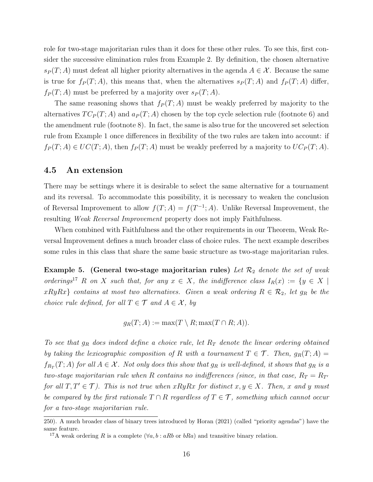role for two-stage majoritarian rules than it does for these other rules. To see this, first consider the successive elimination rules from Example 2. By definition, the chosen alternative  $s_P(T; A)$  must defeat all higher priority alternatives in the agenda  $A \in \mathcal{X}$ . Because the same is true for  $f_P(T; A)$ , this means that, when the alternatives  $s_P(T; A)$  and  $f_P(T; A)$  differ,  $f_P(T; A)$  must be preferred by a majority over  $s_P(T; A)$ .

The same reasoning shows that  $f_P(T; A)$  must be weakly preferred by majority to the alternatives  $TC_P(T; A)$  and  $a_P(T; A)$  chosen by the top cycle selection rule (footnote 6) and the amendment rule (footnote 8). In fact, the same is also true for the uncovered set selection rule from Example 1 once differences in flexibility of the two rules are taken into account: if  $f_P(T; A) \in UC(T; A)$ , then  $f_P(T; A)$  must be weakly preferred by a majority to  $UC_P(T; A)$ .

#### 4.5 An extension

There may be settings where it is desirable to select the same alternative for a tournament and its reversal. To accommodate this possibility, it is necessary to weaken the conclusion of Reversal Improvement to allow  $f(T; A) = f(T^{-1}; A)$ . Unlike Reversal Improvement, the resulting Weak Reversal Improvement property does not imply Faithfulness.

When combined with Faithfulness and the other requirements in our Theorem, Weak Reversal Improvement defines a much broader class of choice rules. The next example describes some rules in this class that share the same basic structure as two-stage majoritarian rules.

**Example 5.** (General two-stage majoritarian rules) Let  $\mathcal{R}_2$  denote the set of weak orderings<sup>17</sup> R on X such that, for any  $x \in X$ , the indifference class  $I_R(x) := \{y \in X \mid$  $xRyRx$  contains at most two alternatives. Given a weak ordering  $R \in \mathcal{R}_2$ , let  $g_R$  be the choice rule defined, for all  $T \in \mathcal{T}$  and  $A \in \mathcal{X}$ , by

 $g_R(T; A) := \max(T \setminus R; \max(T \cap R; A)).$ 

To see that  $g_R$  does indeed define a choice rule, let  $R_T$  denote the linear ordering obtained by taking the lexicographic composition of R with a tournament  $T \in \mathcal{T}$ . Then,  $g_R(T; A) =$  $f_{R_T}(T;A)$  for all  $A \in \mathcal{X}$ . Not only does this show that  $g_R$  is well-defined, it shows that  $g_R$  is a two-stage majoritarian rule when R contains no indifferences (since, in that case,  $R_T = R_{T}$ for all  $T, T' \in \mathcal{T}$ ). This is not true when  $xRyRx$  for distinct  $x, y \in X$ . Then, x and y must be compared by the first rationale  $T \cap R$  regardless of  $T \in \mathcal{T}$ , something which cannot occur for a two-stage majoritarian rule.

<sup>250).</sup> A much broader class of binary trees introduced by Horan (2021) (called "priority agendas") have the same feature. <sup>17</sup>A weak ordering R is a complete ( $\forall a, b : aRb$  or  $bRa$ ) and transitive binary relation.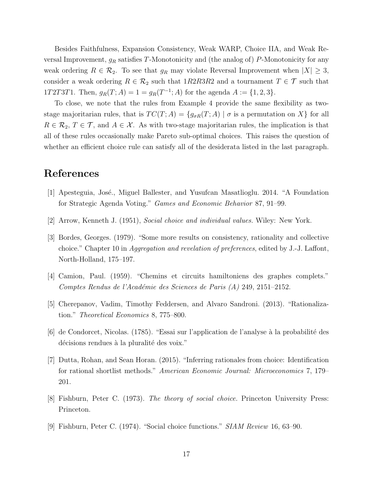Besides Faithfulness, Expansion Consistency, Weak WARP, Choice IIA, and Weak Reversal Improvement,  $g_R$  satisfies T-Monotonicity and (the analog of) P-Monotonicity for any weak ordering  $R \in \mathcal{R}_2$ . To see that  $g_R$  may violate Reversal Improvement when  $|X| \geq 3$ , consider a weak ordering  $R \in \mathcal{R}_2$  such that  $1R2R3R2$  and a tournament  $T \in \mathcal{T}$  such that 1T2T3T1. Then,  $g_R(T; A) = 1 = g_R(T^{-1}; A)$  for the agenda  $A := \{1, 2, 3\}.$ 

To close, we note that the rules from Example 4 provide the same flexibility as twostage majoritarian rules, that is  $TC(T; A) = \{g_{\sigma R}(T; A) | \sigma \text{ is a permutation on } X\}$  for all  $R \in \mathcal{R}_2$ ,  $T \in \mathcal{T}$ , and  $A \in \mathcal{X}$ . As with two-stage majoritarian rules, the implication is that all of these rules occasionally make Pareto sub-optimal choices. This raises the question of whether an efficient choice rule can satisfy all of the desiderata listed in the last paragraph.

# References

- [1] Apesteguia, José., Miguel Ballester, and Yusufcan Masatlioglu. 2014. "A Foundation for Strategic Agenda Voting." Games and Economic Behavior 87, 91–99.
- [2] Arrow, Kenneth J. (1951), Social choice and individual values. Wiley: New York.
- [3] Bordes, Georges. (1979). "Some more results on consistency, rationality and collective choice." Chapter 10 in Aggregation and revelation of preferences, edited by J.-J. Laffont, North-Holland, 175–197.
- [4] Camion, Paul. (1959). "Chemins et circuits hamiltoniens des graphes complets." Comptes Rendus de l'Académie des Sciences de Paris (A) 249, 2151–2152.
- [5] Cherepanov, Vadim, Timothy Feddersen, and Alvaro Sandroni. (2013). "Rationalization." Theoretical Economics 8, 775–800.
- $[6]$  de Condorcet, Nicolas. (1785). "Essai sur l'application de l'analyse à la probabilité des décisions rendues à la pluralité des voix."
- [7] Dutta, Rohan, and Sean Horan. (2015). "Inferring rationales from choice: Identification for rational shortlist methods." American Economic Journal: Microeconomics 7, 179– 201.
- [8] Fishburn, Peter C. (1973). The theory of social choice. Princeton University Press: Princeton.
- [9] Fishburn, Peter C. (1974). "Social choice functions." SIAM Review 16, 63–90.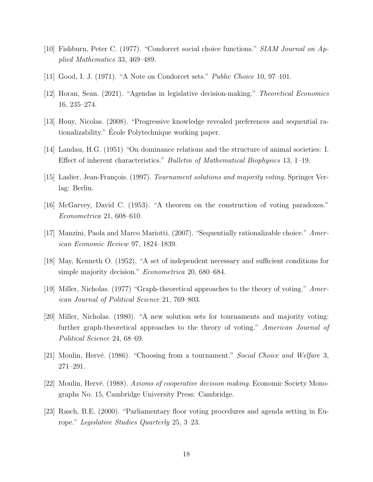- [10] Fishburn, Peter C. (1977). "Condorcet social choice functions." SIAM Journal on Applied Mathematics 33, 469–489.
- [11] Good, I. J. (1971). "A Note on Condorcet sets." Public Choice 10, 97–101.
- [12] Horan, Sean. (2021). "Agendas in legislative decision-making." Theoretical Economics 16, 235–274.
- [13] Houy, Nicolas. (2008). "Progressive knowledge revealed preferences and sequential rationalizability." École Polytechnique working paper.
- [14] Landau, H.G. (1951) "On dominance relations and the structure of animal societies: I. Effect of inherent characteristics." Bulletin of Mathematical Biophysics 13, 1–19.
- [15] Laslier, Jean-François. (1997). Tournament solutions and majority voting. Springer Verlag: Berlin.
- [16] McGarvey, David C. (1953). "A theorem on the construction of voting paradoxes." Econometrica 21, 608–610.
- [17] Manzini, Paola and Marco Mariotti. (2007). "Sequentially rationalizable choice." American Economic Review 97, 1824–1839.
- [18] May, Kenneth O. (1952), "A set of independent necessary and sufficient conditions for simple majority decision." *Econometrica* 20, 680–684.
- [19] Miller, Nicholas. (1977) "Graph-theoretical approaches to the theory of voting." American Journal of Political Science 21, 769–803.
- [20] Miller, Nicholas. (1980). "A new solution sets for tournaments and majority voting: further graph-theoretical approaches to the theory of voting." American Journal of Political Science 24, 68–69.
- [21] Moulin, Hervé. (1986). "Choosing from a tournament." Social Choice and Welfare 3, 271–291.
- [22] Moulin, Hervé. (1988). Axioms of cooperative decision making. Economic Society Monographs No. 15, Cambridge University Press: Cambridge.
- [23] Rasch, B.E. (2000). "Parliamentary floor voting procedures and agenda setting in Europe." Legislative Studies Quarterly 25, 3–23.